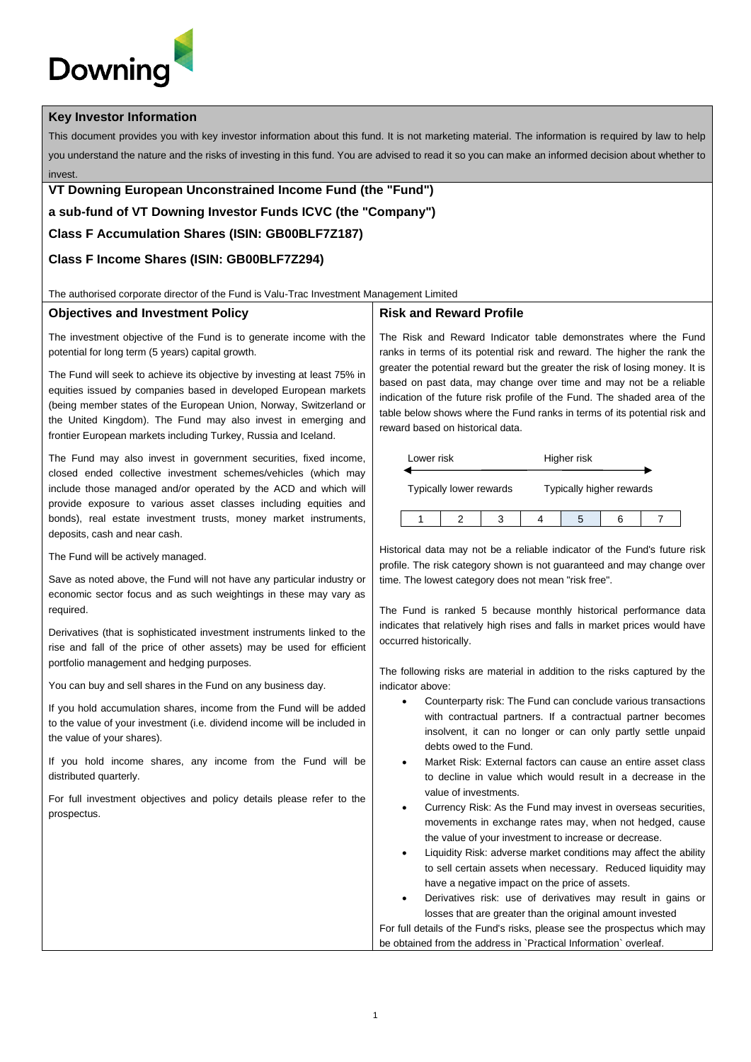# Downinc

#### **Key Investor Information**

This document provides you with key investor information about this fund. It is not marketing material. The information is required by law to help you understand the nature and the risks of investing in this fund. You are advised to read it so you can make an informed decision about whether to invest.

# **VT Downing European Unconstrained Income Fund (the "Fund")**

**a sub-fund of VT Downing Investor Funds ICVC (the "Company")**

## **Class F Accumulation Shares (ISIN: GB00BLF7Z187)**

## **Class F Income Shares (ISIN: GB00BLF7Z294)**

The authorised corporate director of the Fund is Valu-Trac Investment Management Limited

#### **Objectives and Investment Policy**

The investment objective of the Fund is to generate income with the potential for long term (5 years) capital growth.

The Fund will seek to achieve its objective by investing at least 75% in equities issued by companies based in developed European markets (being member states of the European Union, Norway, Switzerland or the United Kingdom). The Fund may also invest in emerging and frontier European markets including Turkey, Russia and Iceland.

The Fund may also invest in government securities, fixed income, closed ended collective investment schemes/vehicles (which may include those managed and/or operated by the ACD and which will provide exposure to various asset classes including equities and bonds), real estate investment trusts, money market instruments, deposits, cash and near cash.

The Fund will be actively managed.

Save as noted above, the Fund will not have any particular industry or economic sector focus and as such weightings in these may vary as required.

Derivatives (that is sophisticated investment instruments linked to the rise and fall of the price of other assets) may be used for efficient portfolio management and hedging purposes.

You can buy and sell shares in the Fund on any business day.

If you hold accumulation shares, income from the Fund will be added to the value of your investment (i.e. dividend income will be included in the value of your shares).

If you hold income shares, any income from the Fund will be distributed quarterly.

For full investment objectives and policy details please refer to the prospectus.

#### **Risk and Reward Profile**

The Risk and Reward Indicator table demonstrates where the Fund ranks in terms of its potential risk and reward. The higher the rank the greater the potential reward but the greater the risk of losing money. It is based on past data, may change over time and may not be a reliable indication of the future risk profile of the Fund. The shaded area of the table below shows where the Fund ranks in terms of its potential risk and reward based on historical data.



Historical data may not be a reliable indicator of the Fund's future risk profile. The risk category shown is not guaranteed and may change over time. The lowest category does not mean "risk free".

The Fund is ranked 5 because monthly historical performance data indicates that relatively high rises and falls in market prices would have occurred historically.

The following risks are material in addition to the risks captured by the indicator above:

- Counterparty risk: The Fund can conclude various transactions with contractual partners. If a contractual partner becomes insolvent, it can no longer or can only partly settle unpaid debts owed to the Fund.
- Market Risk: External factors can cause an entire asset class to decline in value which would result in a decrease in the value of investments.
- Currency Risk: As the Fund may invest in overseas securities, movements in exchange rates may, when not hedged, cause the value of your investment to increase or decrease.
- Liquidity Risk: adverse market conditions may affect the ability to sell certain assets when necessary. Reduced liquidity may have a negative impact on the price of assets.
- Derivatives risk: use of derivatives may result in gains or losses that are greater than the original amount invested

For full details of the Fund's risks, please see the prospectus which may be obtained from the address in `Practical Information` overleaf.